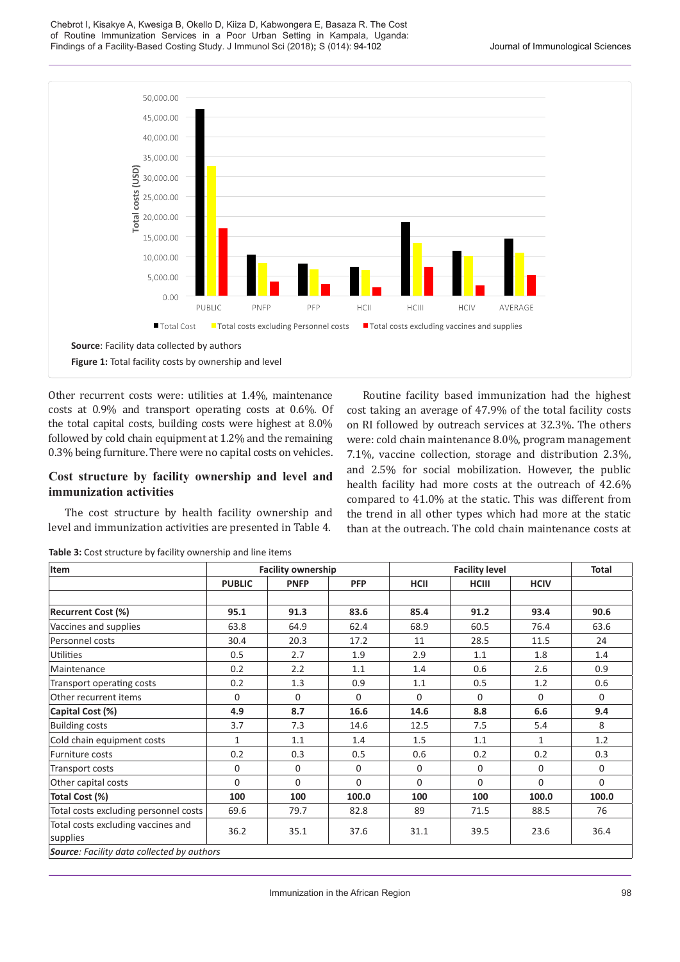Chebrot I, Kisakye A, Kwesiga B, Okello D, Kiiza D, Kabwongera E, Basaza R. The Cost of Routine Immunization Services in a Poor Urban Setting in Kampala, Uganda: Findings of a Facility-Based Costing Study. J Immunol Sci (2018)**;** S (014): 94-102 Journal of Immunological Sciences



Other recurrent costs were: utilities at 1.4%, maintenance costs at 0.9% and transport operating costs at 0.6%. Of the total capital costs, building costs were highest at 8.0% followed by cold chain equipment at 1.2% and the remaining 0.3% being furniture. There were no capital costs on vehicles.

## **Cost structure by facility ownership and level and immunization activities**

The cost structure by health facility ownership and level and immunization activities are presented in Table 4.

Routine facility based immunization had the highest cost taking an average of 47.9% of the total facility costs on RI followed by outreach services at 32.3%. The others were: cold chain maintenance 8.0%, program management 7.1%, vaccine collection, storage and distribution 2.3%, and 2.5% for social mobilization. However, the public health facility had more costs at the outreach of 42.6% compared to 41.0% at the static. This was different from the trend in all other types which had more at the static than at the outreach. The cold chain maintenance costs at

| Item                                              |               | <b>Facility ownership</b> |            |          | <b>Total</b> |              |          |
|---------------------------------------------------|---------------|---------------------------|------------|----------|--------------|--------------|----------|
|                                                   | <b>PUBLIC</b> | <b>PNFP</b>               | <b>PFP</b> | HCII     | <b>HCIII</b> | <b>HCIV</b>  |          |
|                                                   |               |                           |            |          |              |              |          |
| <b>Recurrent Cost (%)</b>                         | 95.1          | 91.3                      | 83.6       | 85.4     | 91.2         | 93.4         | 90.6     |
| Vaccines and supplies                             | 63.8          | 64.9                      | 62.4       | 68.9     | 60.5         | 76.4         | 63.6     |
| Personnel costs                                   | 30.4          | 20.3                      | 17.2       | 11       | 28.5         | 11.5         | 24       |
| <b>Utilities</b>                                  | 0.5           | 2.7                       | 1.9        | 2.9      | 1.1          | 1.8          | 1.4      |
| Maintenance                                       | 0.2           | 2.2                       | 1.1        | 1.4      | 0.6          | 2.6          | 0.9      |
| Transport operating costs                         | 0.2           | 1.3                       | 0.9        | 1.1      | 0.5          | 1.2          | 0.6      |
| Other recurrent items                             | $\Omega$      | $\Omega$                  | $\Omega$   | $\Omega$ | $\Omega$     | $\Omega$     | $\Omega$ |
| Capital Cost (%)                                  | 4.9           | 8.7                       | 16.6       | 14.6     | 8.8          | 6.6          | 9.4      |
| <b>Building costs</b>                             | 3.7           | 7.3                       | 14.6       | 12.5     | 7.5          | 5.4          | 8        |
| Cold chain equipment costs                        | $\mathbf{1}$  | 1.1                       | 1.4        | 1.5      | 1.1          | $\mathbf{1}$ | 1.2      |
| Furniture costs                                   | 0.2           | 0.3                       | 0.5        | 0.6      | 0.2          | 0.2          | 0.3      |
| Transport costs                                   | 0             | $\Omega$                  | $\Omega$   | $\Omega$ | $\Omega$     | $\Omega$     | $\Omega$ |
| Other capital costs                               | 0             | $\Omega$                  | $\Omega$   | $\Omega$ | $\Omega$     | $\Omega$     | 0        |
| Total Cost (%)                                    | 100           | 100                       | 100.0      | 100      | 100          | 100.0        | 100.0    |
| Total costs excluding personnel costs             | 69.6          | 79.7                      | 82.8       | 89       | 71.5         | 88.5         | 76       |
| Total costs excluding vaccines and<br>supplies    | 36.2          | 35.1                      | 37.6       | 31.1     | 39.5         | 23.6         | 36.4     |
| <b>Source:</b> Facility data collected by authors |               |                           |            |          |              |              |          |

**Table 3:** Cost structure by facility ownership and line items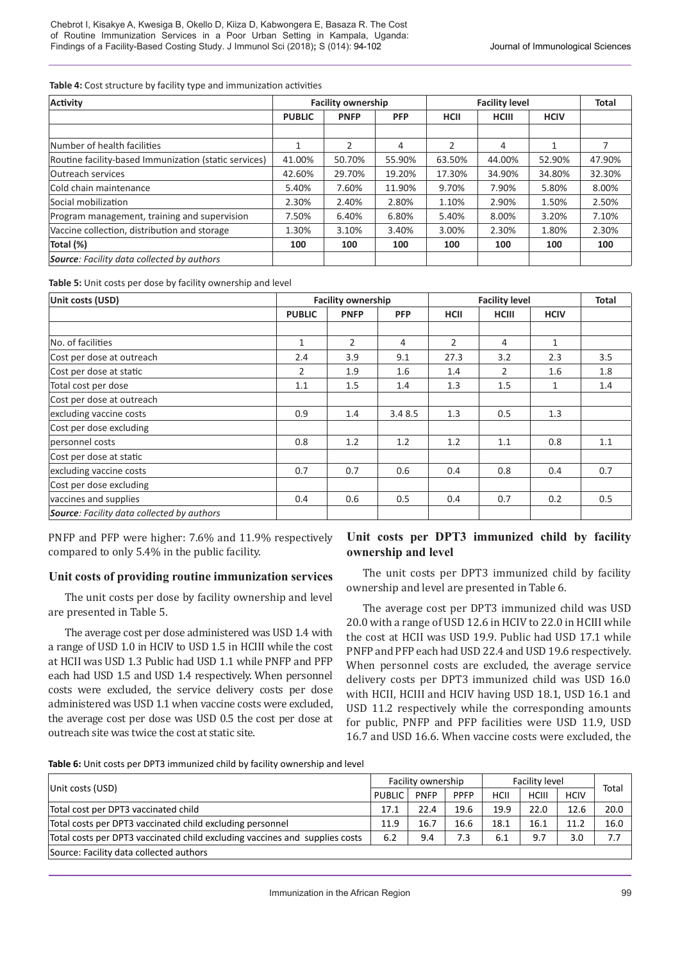**Table 4:** Cost structure by facility type and immunization activities

| <b>Activity</b>                                       | <b>Facility ownership</b> |             |            | <b>Facility level</b> | <b>Total</b> |             |        |
|-------------------------------------------------------|---------------------------|-------------|------------|-----------------------|--------------|-------------|--------|
|                                                       | <b>PUBLIC</b>             | <b>PNFP</b> | <b>PFP</b> | <b>HCII</b>           | <b>HCIII</b> | <b>HCIV</b> |        |
|                                                       |                           |             |            |                       |              |             |        |
| Number of health facilities                           | 1                         | 2           | 4          | 2                     | 4            |             |        |
| Routine facility-based Immunization (static services) | 41.00%                    | 50.70%      | 55.90%     | 63.50%                | 44.00%       | 52.90%      | 47.90% |
| <b>Outreach services</b>                              | 42.60%                    | 29.70%      | 19.20%     | 17.30%                | 34.90%       | 34.80%      | 32.30% |
| Cold chain maintenance                                | 5.40%                     | 7.60%       | 11.90%     | 9.70%                 | 7.90%        | 5.80%       | 8.00%  |
| Social mobilization                                   | 2.30%                     | 2.40%       | 2.80%      | 1.10%                 | 2.90%        | 1.50%       | 2.50%  |
| Program management, training and supervision          | 7.50%                     | 6.40%       | 6.80%      | 5.40%                 | 8.00%        | 3.20%       | 7.10%  |
| Vaccine collection, distribution and storage          | 1.30%                     | 3.10%       | 3.40%      | 3.00%                 | 2.30%        | 1.80%       | 2.30%  |
| Total (%)                                             | 100                       | 100         | 100        | 100                   | 100          | 100         | 100    |
| <b>Source:</b> Facility data collected by authors     |                           |             |            |                       |              |             |        |

**Table 5:** Unit costs per dose by facility ownership and level

| Unit costs (USD)                                  | <b>Facility ownership</b> |                |            | <b>Facility level</b> | <b>Total</b> |              |     |
|---------------------------------------------------|---------------------------|----------------|------------|-----------------------|--------------|--------------|-----|
|                                                   | <b>PUBLIC</b>             | <b>PNFP</b>    | <b>PFP</b> | <b>HCII</b>           | <b>HCIII</b> | <b>HCIV</b>  |     |
|                                                   |                           |                |            |                       |              |              |     |
| No. of facilities                                 | $\mathbf{1}$              | $\overline{2}$ | 4          | $\overline{2}$        | 4            | $\mathbf{1}$ |     |
| Cost per dose at outreach                         | 2.4                       | 3.9            | 9.1        | 27.3                  | 3.2          | 2.3          | 3.5 |
| Cost per dose at static                           | 2                         | 1.9            | 1.6        | 1.4                   | 2            | 1.6          | 1.8 |
| Total cost per dose                               | 1.1                       | 1.5            | 1.4        | 1.3                   | 1.5          | $\mathbf{1}$ | 1.4 |
| Cost per dose at outreach                         |                           |                |            |                       |              |              |     |
| excluding vaccine costs                           | 0.9                       | 1.4            | 3.4 8.5    | 1.3                   | 0.5          | 1.3          |     |
| Cost per dose excluding                           |                           |                |            |                       |              |              |     |
| personnel costs                                   | 0.8                       | 1.2            | 1.2        | 1.2                   | 1.1          | 0.8          | 1.1 |
| Cost per dose at static                           |                           |                |            |                       |              |              |     |
| excluding vaccine costs                           | 0.7                       | 0.7            | 0.6        | 0.4                   | 0.8          | 0.4          | 0.7 |
| Cost per dose excluding                           |                           |                |            |                       |              |              |     |
| vaccines and supplies                             | 0.4                       | 0.6            | 0.5        | 0.4                   | 0.7          | 0.2          | 0.5 |
| <b>Source:</b> Facility data collected by authors |                           |                |            |                       |              |              |     |

PNFP and PFP were higher: 7.6% and 11.9% respectively compared to only 5.4% in the public facility.

## **Unit costs of providing routine immunization services**

The unit costs per dose by facility ownership and level are presented in Table 5.

The average cost per dose administered was USD 1.4 with a range of USD 1.0 in HCIV to USD 1.5 in HCIII while the cost at HCII was USD 1.3 Public had USD 1.1 while PNFP and PFP each had USD 1.5 and USD 1.4 respectively. When personnel costs were excluded, the service delivery costs per dose administered was USD 1.1 when vaccine costs were excluded, the average cost per dose was USD 0.5 the cost per dose at outreach site was twice the cost at static site.

## **Unit costs per DPT3 immunized child by facility ownership and level**

The unit costs per DPT3 immunized child by facility ownership and level are presented in Table 6.

The average cost per DPT3 immunized child was USD 20.0 with a range of USD 12.6 in HCIV to 22.0 in HCIII while the cost at HCII was USD 19.9. Public had USD 17.1 while PNFP and PFP each had USD 22.4 and USD 19.6 respectively. When personnel costs are excluded, the average service delivery costs per DPT3 immunized child was USD 16.0 with HCII, HCIII and HCIV having USD 18.1, USD 16.1 and USD 11.2 respectively while the corresponding amounts for public, PNFP and PFP facilities were USD 11.9, USD 16.7 and USD 16.6. When vaccine costs were excluded, the

**Table 6:** Unit costs per DPT3 immunized child by facility ownership and level

|                                                                             |               | Facility ownership |             |      | Facility level |             |       |
|-----------------------------------------------------------------------------|---------------|--------------------|-------------|------|----------------|-------------|-------|
| Unit costs (USD)                                                            | <b>PUBLIC</b> | <b>PNFP</b>        | <b>PPFP</b> | HCII | <b>HCIII</b>   | <b>HCIV</b> | Total |
| Total cost per DPT3 vaccinated child                                        |               | 22.4               | 19.6        | 19.9 | 22.0           | 12.6        | 20.0  |
| Total costs per DPT3 vaccinated child excluding personnel                   |               | 16.7               | 16.6        | 18.1 | 16.1           | 11.2        | 16.0  |
| Total costs per DPT3 vaccinated child excluding vaccines and supplies costs |               | 9.4                | 7.3         | 6.1  | 9.7            | 3.0         | 7.7   |
| Source: Facility data collected authors                                     |               |                    |             |      |                |             |       |